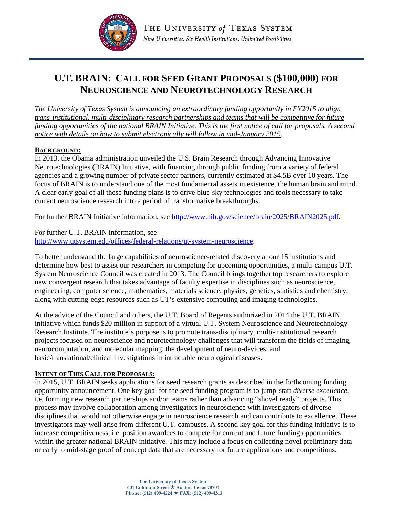

# **U.T. BRAIN: CALL FOR SEED GRANT PROPOSALS (\$100,000) FOR NEUROSCIENCE AND NEUROTECHNOLOGY RESEARCH**

*The University of Texas System is announcing an extraordinary funding opportunity in FY2015 to align trans-institutional, multi-disciplinary research partnerships and teams that will be competitive for future funding opportunities of the national BRAIN Initiative. This is the first notice of call for proposals. A second notice with details on how to submit electronically will follow in mid-January 2015*.

### **BACKGROUND:**

In 2013, the Obama administration unveiled the U.S. Brain Research through Advancing Innovative Neurotechnologies (BRAIN) Initiative, with financing through public funding from a variety of federal agencies and a growing number of private sector partners, currently estimated at \$4.5B over 10 years. The focus of BRAIN is to understand one of the most fundamental assets in existence, the human brain and mind. A clear early goal of all these funding plans is to drive blue-sky technologies and tools necessary to take current neuroscience research into a period of transformative breakthroughs.

For further BRAIN Initiative information, see [http://www.nih.gov/science/brain/2025/BRAIN2025.pdf.](http://www.nih.gov/science/brain/2025/BRAIN2025.pdf)

For further U.T. BRAIN information, see [http://www.utsystem.edu/offices/federal-relations/ut-system-neuroscience.](http://www.utsystem.edu/offices/federal-relations/ut-system-neuroscience)

To better understand the large capabilities of neuroscience-related discovery at our 15 institutions and determine how best to assist our researchers in competing for upcoming opportunities, a multi-campus U.T. System Neuroscience Council was created in 2013. The Council brings together top researchers to explore new convergent research that takes advantage of faculty expertise in disciplines such as neuroscience, engineering, computer science, mathematics, materials science, physics, genetics, statistics and chemistry, along with cutting-edge resources such as UT's extensive computing and imaging technologies.

At the advice of the Council and others, the U.T. Board of Regents authorized in 2014 the U.T. BRAIN initiative which funds \$20 million in support of a virtual U.T. System Neuroscience and Neurotechnology Research Institute. The institute's purpose is to promote trans-disciplinary, multi-institutional research projects focused on neuroscience and neurotechnology challenges that will transform the fields of imaging, neurocomputation, and molecular mapping; the development of neuro-devices; and basic/translational/clinical investigations in intractable neurological diseases.

#### **INTENT OF THIS CALL FOR PROPOSALS:**

In 2015, U.T. BRAIN seeks applications for seed research grants as described in the forthcoming funding opportunity announcement. One key goal for the seed funding program is to jump-start *diverse excellence*, i.e. forming new research partnerships and/or teams rather than advancing "shovel ready" projects. This process may involve collaboration among investigators in neuroscience with investigators of diverse disciplines that would not otherwise engage in neuroscience research and can contribute to excellence. These investigators may well arise from different U.T. campuses. A second key goal for this funding initiative is to increase competitiveness, i.e. position awardees to compete for current and future funding opportunities within the greater national BRAIN initiative. This may include a focus on collecting novel preliminary data or early to mid-stage proof of concept data that are necessary for future applications and competitions.